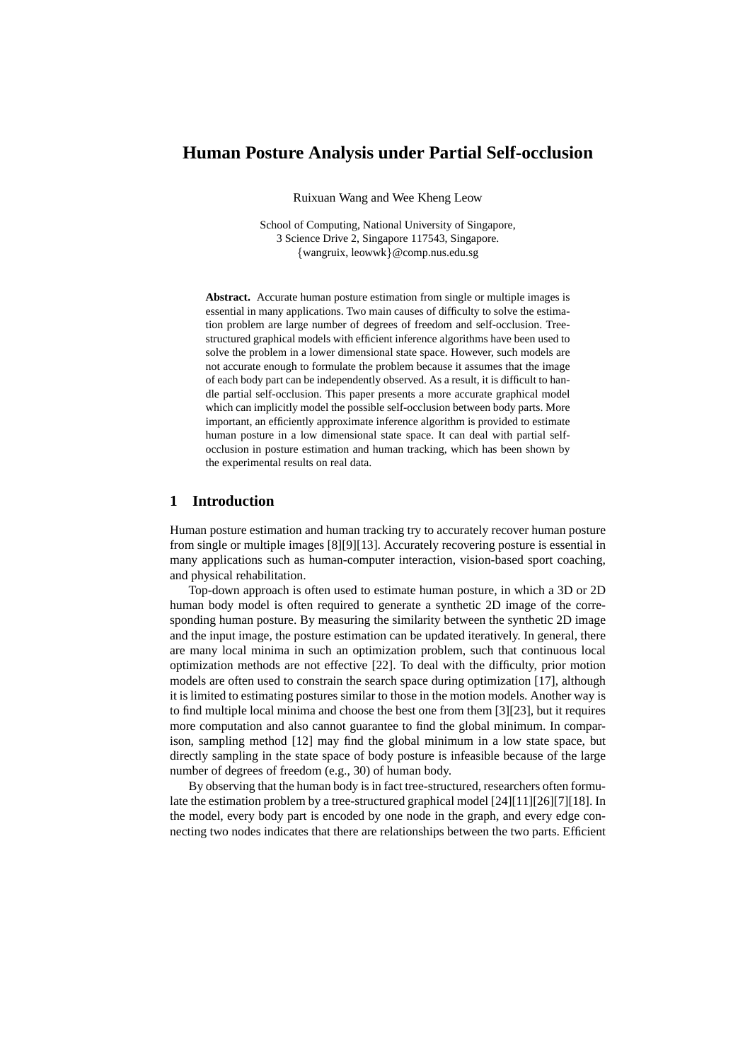# **Human Posture Analysis under Partial Self-occlusion**

Ruixuan Wang and Wee Kheng Leow

School of Computing, National University of Singapore, 3 Science Drive 2, Singapore 117543, Singapore. {wangruix, leowwk}@comp.nus.edu.sg

**Abstract.** Accurate human posture estimation from single or multiple images is essential in many applications. Two main causes of difficulty to solve the estimation problem are large number of degrees of freedom and self-occlusion. Treestructured graphical models with efficient inference algorithms have been used to solve the problem in a lower dimensional state space. However, such models are not accurate enough to formulate the problem because it assumes that the image of each body part can be independently observed. As a result, it is difficult to handle partial self-occlusion. This paper presents a more accurate graphical model which can implicitly model the possible self-occlusion between body parts. More important, an efficiently approximate inference algorithm is provided to estimate human posture in a low dimensional state space. It can deal with partial selfocclusion in posture estimation and human tracking, which has been shown by the experimental results on real data.

### **1 Introduction**

Human posture estimation and human tracking try to accurately recover human posture from single or multiple images [8][9][13]. Accurately recovering posture is essential in many applications such as human-computer interaction, vision-based sport coaching, and physical rehabilitation.

Top-down approach is often used to estimate human posture, in which a 3D or 2D human body model is often required to generate a synthetic 2D image of the corresponding human posture. By measuring the similarity between the synthetic 2D image and the input image, the posture estimation can be updated iteratively. In general, there are many local minima in such an optimization problem, such that continuous local optimization methods are not effective [22]. To deal with the difficulty, prior motion models are often used to constrain the search space during optimization [17], although it is limited to estimating postures similar to those in the motion models. Another way is to find multiple local minima and choose the best one from them [3][23], but it requires more computation and also cannot guarantee to find the global minimum. In comparison, sampling method [12] may find the global minimum in a low state space, but directly sampling in the state space of body posture is infeasible because of the large number of degrees of freedom (e.g., 30) of human body.

By observing that the human body is in fact tree-structured, researchers often formulate the estimation problem by a tree-structured graphical model [24][11][26][7][18]. In the model, every body part is encoded by one node in the graph, and every edge connecting two nodes indicates that there are relationships between the two parts. Efficient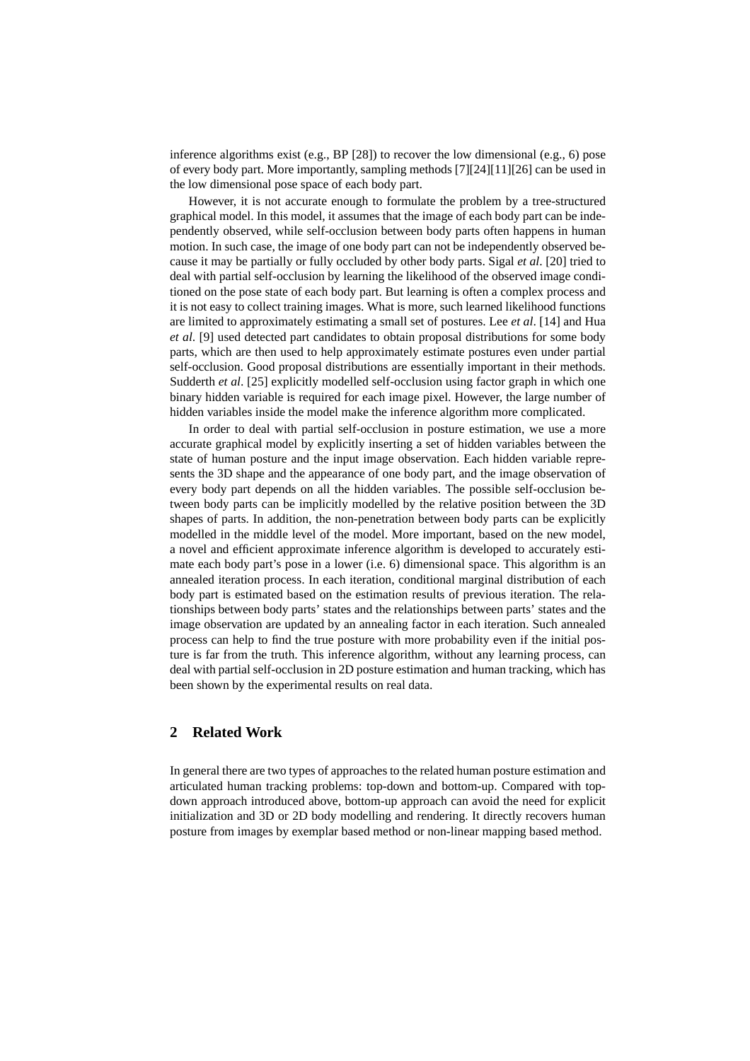inference algorithms exist (e.g.,  $BP$  [28]) to recover the low dimensional (e.g., 6) pose of every body part. More importantly, sampling methods [7][24][11][26] can be used in the low dimensional pose space of each body part.

However, it is not accurate enough to formulate the problem by a tree-structured graphical model. In this model, it assumes that the image of each body part can be independently observed, while self-occlusion between body parts often happens in human motion. In such case, the image of one body part can not be independently observed because it may be partially or fully occluded by other body parts. Sigal *et al*. [20] tried to deal with partial self-occlusion by learning the likelihood of the observed image conditioned on the pose state of each body part. But learning is often a complex process and it is not easy to collect training images. What is more, such learned likelihood functions are limited to approximately estimating a small set of postures. Lee *et al*. [14] and Hua *et al*. [9] used detected part candidates to obtain proposal distributions for some body parts, which are then used to help approximately estimate postures even under partial self-occlusion. Good proposal distributions are essentially important in their methods. Sudderth *et al*. [25] explicitly modelled self-occlusion using factor graph in which one binary hidden variable is required for each image pixel. However, the large number of hidden variables inside the model make the inference algorithm more complicated.

In order to deal with partial self-occlusion in posture estimation, we use a more accurate graphical model by explicitly inserting a set of hidden variables between the state of human posture and the input image observation. Each hidden variable represents the 3D shape and the appearance of one body part, and the image observation of every body part depends on all the hidden variables. The possible self-occlusion between body parts can be implicitly modelled by the relative position between the 3D shapes of parts. In addition, the non-penetration between body parts can be explicitly modelled in the middle level of the model. More important, based on the new model, a novel and efficient approximate inference algorithm is developed to accurately estimate each body part's pose in a lower (i.e. 6) dimensional space. This algorithm is an annealed iteration process. In each iteration, conditional marginal distribution of each body part is estimated based on the estimation results of previous iteration. The relationships between body parts' states and the relationships between parts' states and the image observation are updated by an annealing factor in each iteration. Such annealed process can help to find the true posture with more probability even if the initial posture is far from the truth. This inference algorithm, without any learning process, can deal with partial self-occlusion in 2D posture estimation and human tracking, which has been shown by the experimental results on real data.

# **2 Related Work**

In general there are two types of approaches to the related human posture estimation and articulated human tracking problems: top-down and bottom-up. Compared with topdown approach introduced above, bottom-up approach can avoid the need for explicit initialization and 3D or 2D body modelling and rendering. It directly recovers human posture from images by exemplar based method or non-linear mapping based method.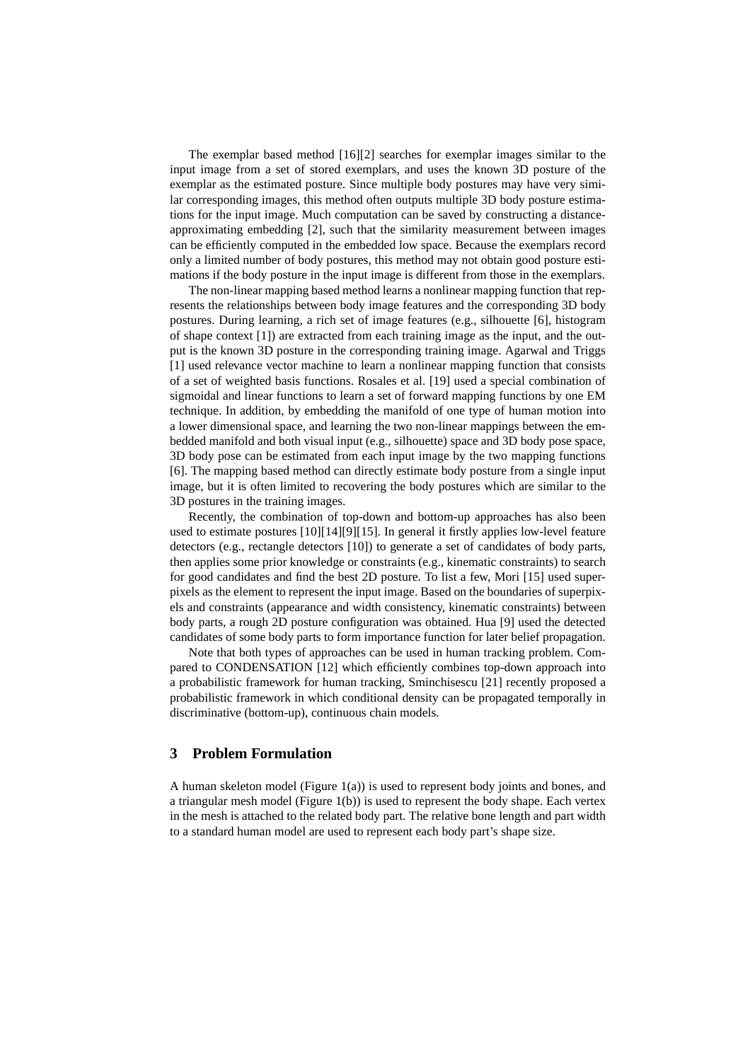The exemplar based method  $[16][2]$  searches for exemplar images similar to the input image from a set of stored exemplars, and uses the known 3D posture of the exemplar as the estimated posture. Since multiple body postures may have very similar corresponding images, this method often outputs multiple 3D body posture estimations for the input image. Much computation can be saved by constructing a distanceapproximating embedding [2], such that the similarity measurement between images can be efficiently computed in the embedded low space. Because the exemplars record only a limited number of body postures, this method may not obtain good posture estimations if the body posture in the input image is different from those in the exemplars.

The non-linear mapping based method learns a nonlinear mapping function that represents the relationships between body image features and the corresponding 3D body postures. During learning, a rich set of image features (e.g., silhouette [6], histogram of shape context [1]) are extracted from each training image as the input, and the output is the known 3D posture in the corresponding training image. Agarwal and Triggs [1] used relevance vector machine to learn a nonlinear mapping function that consists of a set of weighted basis functions. Rosales et al. [19] used a special combination of sigmoidal and linear functions to learn a set of forward mapping functions by one EM technique. In addition, by embedding the manifold of one type of human motion into a lower dimensional space, and learning the two non-linear mappings between the embedded manifold and both visual input (e.g., silhouette) space and 3D body pose space, 3D body pose can be estimated from each input image by the two mapping functions [6]. The mapping based method can directly estimate body posture from a single input image, but it is often limited to recovering the body postures which are similar to the 3D postures in the training images.

Recently, the combination of top-down and bottom-up approaches has also been used to estimate postures [10][14][9][15]. In general it firstly applies low-level feature detectors (e.g., rectangle detectors [10]) to generate a set of candidates of body parts, then applies some prior knowledge or constraints (e.g., kinematic constraints) to search for good candidates and find the best 2D posture. To list a few, Mori [15] used superpixels as the element to represent the input image. Based on the boundaries of superpixels and constraints (appearance and width consistency, kinematic constraints) between body parts, a rough 2D posture configuration was obtained. Hua [9] used the detected candidates of some body parts to form importance function for later belief propagation.

Note that both types of approaches can be used in human tracking problem. Compared to CONDENSATION [12] which efficiently combines top-down approach into a probabilistic framework for human tracking, Sminchisescu [21] recently proposed a probabilistic framework in which conditional density can be propagated temporally in discriminative (bottom-up), continuous chain models.

# **3 Problem Formulation**

A human skeleton model (Figure 1(a)) is used to represent body joints and bones, and a triangular mesh model (Figure 1(b)) is used to represent the body shape. Each vertex in the mesh is attached to the related body part. The relative bone length and part width to a standard human model are used to represent each body part's shape size.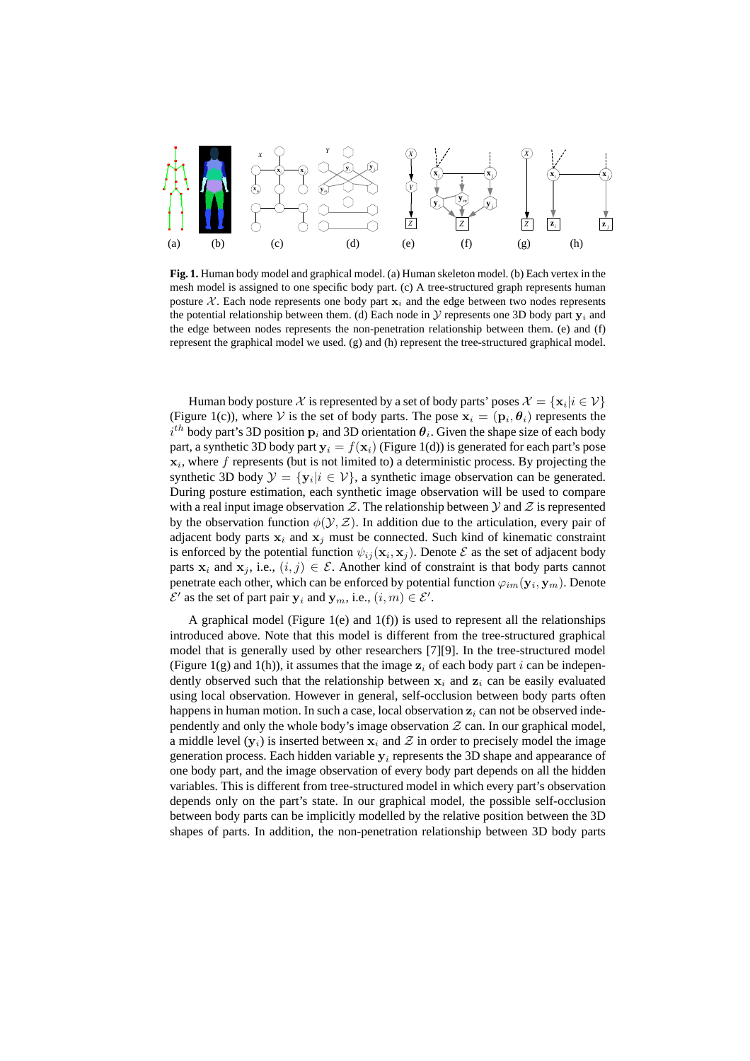

**Fig. 1.** Human body model and graphical model. (a) Human skeleton model. (b) Each vertex in the mesh model is assigned to one specific body part. (c) A tree-structured graph represents human posture X. Each node represents one body part  $x_i$  and the edge between two nodes represents the potential relationship between them. (d) Each node in  $\mathcal V$  represents one 3D body part  $\mathbf v_i$  and the edge between nodes represents the non-penetration relationship between them. (e) and (f) represent the graphical model we used. (g) and (h) represent the tree-structured graphical model.

Human body posture  $\mathcal X$  is represented by a set of body parts' poses  $\mathcal X=\{\mathbf x_i|i\in\mathcal V\}$ (Figure 1(c)), where V is the set of body parts. The pose  $x_i = (p_i, \theta_i)$  represents the  $i^{th}$  body part's 3D position  $p_i$  and 3D orientation  $\theta_i$ . Given the shape size of each body part, a synthetic 3D body part  $y_i = f(x_i)$  (Figure 1(d)) is generated for each part's pose  $\mathbf{x}_i$ , where f represents (but is not limited to) a deterministic process. By projecting the synthetic 3D body  $\mathcal{Y} = \{y_i | i \in \mathcal{V}\}\$ , a synthetic image observation can be generated. During posture estimation, each synthetic image observation will be used to compare with a real input image observation  $\mathcal Z$ . The relationship between  $\mathcal Y$  and  $\mathcal Z$  is represented by the observation function  $\phi(\mathcal{Y}, \mathcal{Z})$ . In addition due to the articulation, every pair of adjacent body parts  $x_i$  and  $x_j$  must be connected. Such kind of kinematic constraint is enforced by the potential function  $\psi_{ij}(\mathbf{x}_i, \mathbf{x}_j)$ . Denote  $\mathcal E$  as the set of adjacent body parts  $x_i$  and  $x_j$ , i.e.,  $(i, j) \in \mathcal{E}$ . Another kind of constraint is that body parts cannot penetrate each other, which can be enforced by potential function  $\varphi_{im}(\mathbf{y}_i, \mathbf{y}_m)$ . Denote  $\mathcal{E}'$  as the set of part pair  $\mathbf{y}_i$  and  $\mathbf{y}_m$ , i.e.,  $(i, m) \in \mathcal{E}'$ .

A graphical model (Figure 1(e) and  $1(f)$ ) is used to represent all the relationships introduced above. Note that this model is different from the tree-structured graphical model that is generally used by other researchers [7][9]. In the tree-structured model (Figure 1(g) and 1(h)), it assumes that the image  $z_i$  of each body part i can be independently observed such that the relationship between  $x_i$  and  $z_i$  can be easily evaluated using local observation. However in general, self-occlusion between body parts often happens in human motion. In such a case, local observation  $z_i$  can not be observed independently and only the whole body's image observation  $Z$  can. In our graphical model, a middle level  $(y_i)$  is inserted between  $x_i$  and  $\mathcal Z$  in order to precisely model the image generation process. Each hidden variable  $y_i$  represents the 3D shape and appearance of one body part, and the image observation of every body part depends on all the hidden variables. This is different from tree-structured model in which every part's observation depends only on the part's state. In our graphical model, the possible self-occlusion between body parts can be implicitly modelled by the relative position between the 3D shapes of parts. In addition, the non-penetration relationship between 3D body parts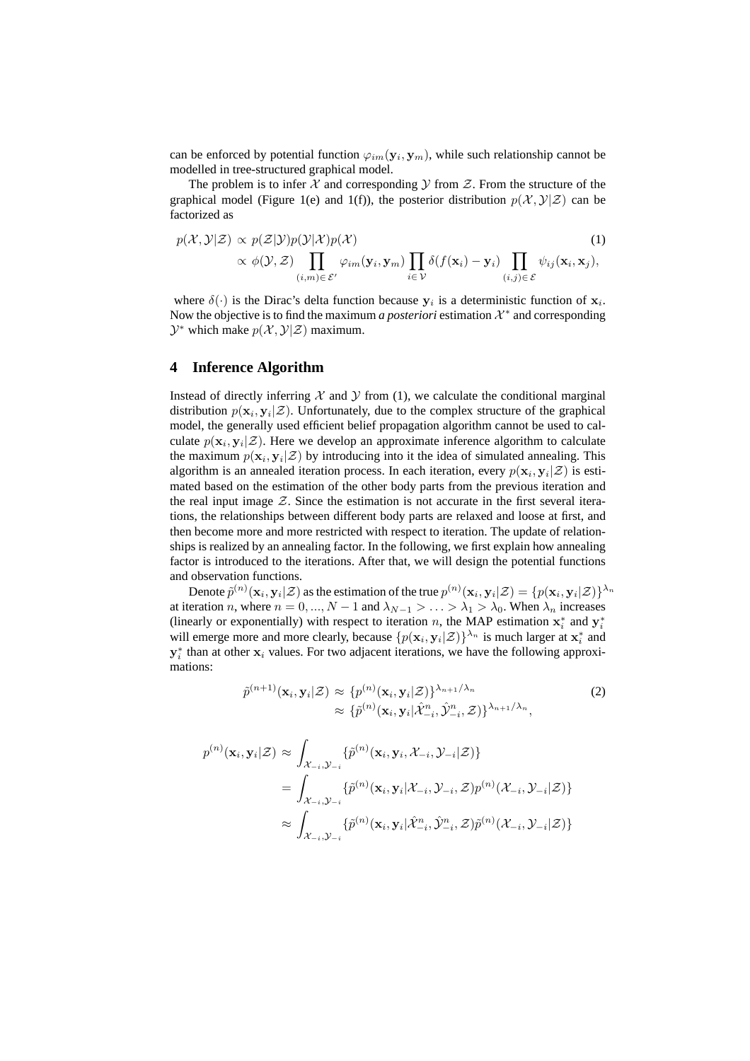can be enforced by potential function  $\varphi_{im}(\mathbf{y}_i, \mathbf{y}_m)$ , while such relationship cannot be modelled in tree-structured graphical model.

The problem is to infer  $X$  and corresponding  $Y$  from  $Z$ . From the structure of the graphical model (Figure 1(e) and 1(f)), the posterior distribution  $p(\mathcal{X}, \mathcal{Y}|\mathcal{Z})$  can be factorized as

$$
p(\mathcal{X}, \mathcal{Y}|\mathcal{Z}) \propto p(\mathcal{Z}|\mathcal{Y})p(\mathcal{Y}|\mathcal{X})p(\mathcal{X})
$$
(1)  

$$
\propto \phi(\mathcal{Y}, \mathcal{Z}) \prod_{(i,m) \in \mathcal{E}'} \varphi_{im}(\mathbf{y}_i, \mathbf{y}_m) \prod_{i \in \mathcal{Y}} \delta(f(\mathbf{x}_i) - \mathbf{y}_i) \prod_{(i,j) \in \mathcal{E}} \psi_{ij}(\mathbf{x}_i, \mathbf{x}_j),
$$

where  $\delta(\cdot)$  is the Dirac's delta function because  $y_i$  is a deterministic function of  $x_i$ . Now the objective is to find the maximum *a posteriori* estimation  $\mathcal{X}^*$  and corresponding  $\mathcal{Y}^*$  which make  $p(\mathcal{X}, \mathcal{Y}|\mathcal{Z})$  maximum.

### **4 Inference Algorithm**

Instead of directly inferring  $\mathcal X$  and  $\mathcal Y$  from (1), we calculate the conditional marginal distribution  $p(\mathbf{x}_i, \mathbf{y}_i | \mathcal{Z})$ . Unfortunately, due to the complex structure of the graphical model, the generally used efficient belief propagation algorithm cannot be used to calculate  $p(\mathbf{x}_i, \mathbf{y}_i | \mathcal{Z})$ . Here we develop an approximate inference algorithm to calculate the maximum  $p(\mathbf{x}_i, \mathbf{y}_i | \mathcal{Z})$  by introducing into it the idea of simulated annealing. This algorithm is an annealed iteration process. In each iteration, every  $p(\mathbf{x}_i, \mathbf{y}_i | \mathcal{Z})$  is estimated based on the estimation of the other body parts from the previous iteration and the real input image  $Z$ . Since the estimation is not accurate in the first several iterations, the relationships between different body parts are relaxed and loose at first, and then become more and more restricted with respect to iteration. The update of relationships is realized by an annealing factor. In the following, we first explain how annealing factor is introduced to the iterations. After that, we will design the potential functions and observation functions.

Denote  $\tilde{p}^{(n)}(\mathbf{x}_i, \mathbf{y}_i | \mathcal{Z})$  as the estimation of the true  $p^{(n)}(\mathbf{x}_i, \mathbf{y}_i | \mathcal{Z}) = \{p(\mathbf{x}_i, \mathbf{y}_i | \mathcal{Z})\}^{\lambda_n}$ at iteration n, where  $n = 0, ..., N - 1$  and  $\lambda_{N-1} > ... > \lambda_1 > \lambda_0$ . When  $\lambda_n$  increases (linearly or exponentially) with respect to iteration n, the MAP estimation  $x_i^*$  and  $y_i^*$ will emerge more and more clearly, because  $\{p(\mathbf{x}_i, \mathbf{y}_i | \mathcal{Z})\}^{\lambda_n}$  is much larger at  $\mathbf{x}_i^*$  and  $y_i^*$  than at other  $x_i$  values. For two adjacent iterations, we have the following approximations:

$$
\tilde{p}^{(n+1)}(\mathbf{x}_i, \mathbf{y}_i | \mathcal{Z}) \approx \{p^{(n)}(\mathbf{x}_i, \mathbf{y}_i | \mathcal{Z})\}^{\lambda_{n+1}/\lambda_n} \approx \{\tilde{p}^{(n)}(\mathbf{x}_i, \mathbf{y}_i | \hat{\mathcal{X}}_{-i}^n, \hat{\mathcal{Y}}_{-i}^n, \mathcal{Z})\}^{\lambda_{n+1}/\lambda_n},
$$
\n(2)

$$
p^{(n)}(\mathbf{x}_i, \mathbf{y}_i | \mathcal{Z}) \approx \int_{\mathcal{X}_{-i}, \mathcal{Y}_{-i}} \{ \tilde{p}^{(n)}(\mathbf{x}_i, \mathbf{y}_i, \mathcal{X}_{-i}, \mathcal{Y}_{-i} | \mathcal{Z}) \}
$$
  
= 
$$
\int_{\mathcal{X}_{-i}, \mathcal{Y}_{-i}} \{ \tilde{p}^{(n)}(\mathbf{x}_i, \mathbf{y}_i | \mathcal{X}_{-i}, \mathcal{Y}_{-i}, \mathcal{Z}) p^{(n)}(\mathcal{X}_{-i}, \mathcal{Y}_{-i} | \mathcal{Z}) \}
$$
  

$$
\approx \int_{\mathcal{X}_{-i}, \mathcal{Y}_{-i}} \{ \tilde{p}^{(n)}(\mathbf{x}_i, \mathbf{y}_i | \hat{\mathcal{X}}_{-i}^n, \hat{\mathcal{Y}}_{-i}^n, \mathcal{Z}) \tilde{p}^{(n)}(\mathcal{X}_{-i}, \mathcal{Y}_{-i} | \mathcal{Z}) \}
$$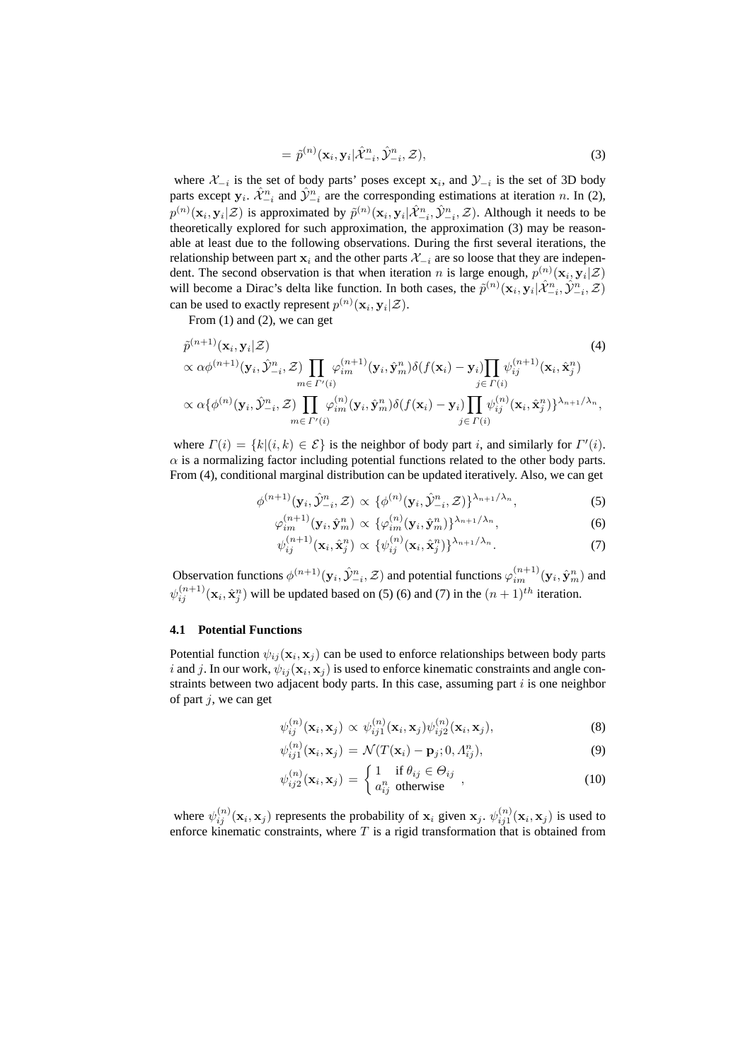$$
= \tilde{p}^{(n)}(\mathbf{x}_i, \mathbf{y}_i | \hat{\mathcal{X}}_{-i}^n, \hat{\mathcal{Y}}_{-i}^n, \mathcal{Z}), \tag{3}
$$

where  $\mathcal{X}_{-i}$  is the set of body parts' poses except  $\mathbf{x}_i$ , and  $\mathcal{Y}_{-i}$  is the set of 3D body parts except  $y_i$ .  $\hat{\mathcal{X}}_{-i}^n$  and  $\hat{\mathcal{Y}}_{-i}^n$  are the corresponding estimations at iteration n. In (2),  $p^{(n)}(\mathbf{x}_i, \mathbf{y}_i | \mathcal{Z})$  is approximated by  $\tilde{p}^{(n)}(\mathbf{x}_i, \mathbf{y}_i | \hat{\mathcal{X}}_{-i}^n, \hat{\mathcal{Y}}_{-i}^n, \mathcal{Z})$ . Although it needs to be theoretically explored for such approximation, the approximation (3) may be reasonable at least due to the following observations. During the first several iterations, the relationship between part  $x_i$  and the other parts  $\mathcal{X}_{-i}$  are so loose that they are independent. The second observation is that when iteration n is large enough,  $p^{(n)}(\mathbf{x}_i, \mathbf{y}_i | \mathcal{Z})$ will become a Dirac's delta like function. In both cases, the  $\tilde{p}^{(n)}(\mathbf{x}_i, \mathbf{y}_i | \hat{\mathcal{X}}_{-i}^n, \hat{\mathcal{Y}}_{-i}^n, \mathcal{Z})$ can be used to exactly represent  $p^{(n)}(\mathbf{x}_i, \mathbf{y}_i | \mathcal{Z})$ .

From (1) and (2), we can get

$$
\tilde{p}^{(n+1)}(\mathbf{x}_{i}, \mathbf{y}_{i} | \mathcal{Z})
$$
\n
$$
\propto \alpha \phi^{(n+1)}(\mathbf{y}_{i}, \hat{\mathbf{y}}_{-i}^{n}, \mathcal{Z}) \prod_{m \in \Gamma'(i)} \varphi_{im}^{(n+1)}(\mathbf{y}_{i}, \hat{\mathbf{y}}_{m}^{n}) \delta(f(\mathbf{x}_{i}) - \mathbf{y}_{i}) \prod_{j \in \Gamma(i)} \psi_{ij}^{(n+1)}(\mathbf{x}_{i}, \hat{\mathbf{x}}_{j}^{n})
$$
\n
$$
\propto \alpha \{ \phi^{(n)}(\mathbf{y}_{i}, \hat{\mathbf{y}}_{-i}^{n}, \mathcal{Z}) \prod_{m \in \Gamma'(i)} \varphi_{im}^{(n)}(\mathbf{y}_{i}, \hat{\mathbf{y}}_{m}^{n}) \delta(f(\mathbf{x}_{i}) - \mathbf{y}_{i}) \prod_{j \in \Gamma(i)} \psi_{ij}^{(n)}(\mathbf{x}_{i}, \hat{\mathbf{x}}_{j}^{n}) \}^{\lambda_{n+1}/\lambda_{n}},
$$
\n(4)

where  $\Gamma(i) = \{k | (i, k) \in \mathcal{E} \}$  is the neighbor of body part i, and similarly for  $\Gamma'(i)$ .  $\alpha$  is a normalizing factor including potential functions related to the other body parts. From (4), conditional marginal distribution can be updated iteratively. Also, we can get

$$
\phi^{(n+1)}(\mathbf{y}_i, \hat{\mathcal{Y}}_{-i}^n, \mathcal{Z}) \propto \{ \phi^{(n)}(\mathbf{y}_i, \hat{\mathcal{Y}}_{-i}^n, \mathcal{Z}) \}^{\lambda_{n+1}/\lambda_n},\tag{5}
$$

$$
\varphi_{im}^{(n+1)}(\mathbf{y}_i, \hat{\mathbf{y}}_m^n) \propto \{ \varphi_{im}^{(n)}(\mathbf{y}_i, \hat{\mathbf{y}}_m^n) \}^{\lambda_{n+1}/\lambda_n},\tag{6}
$$

$$
\psi_{ij}^{(n+1)}(\mathbf{x}_i, \hat{\mathbf{x}}_j^n) \propto \{\psi_{ij}^{(n)}(\mathbf{x}_i, \hat{\mathbf{x}}_j^n)\}^{\lambda_{n+1}/\lambda_n}.
$$
 (7)

Observation functions  $\phi^{(n+1)}(y_i, \hat{y}_{-i}^n, \mathcal{Z})$  and potential functions  $\varphi^{(n+1)}_{im}(y_i, \hat{y}_m^n)$  and  $\psi_{ij}^{(n+1)}(\mathbf{x}_i, \hat{\mathbf{x}}_j^n)$  will be updated based on (5) (6) and (7) in the  $(n+1)^{th}$  iteration.

### **4.1 Potential Functions**

Potential function  $\psi_{ij}(\mathbf{x}_i, \mathbf{x}_j)$  can be used to enforce relationships between body parts i and j. In our work,  $\psi_{ij}(\mathbf{x}_i, \mathbf{x}_j)$  is used to enforce kinematic constraints and angle constraints between two adjacent body parts. In this case, assuming part  $i$  is one neighbor of part  $j$ , we can get

$$
\psi_{ij}^{(n)}(\mathbf{x}_i, \mathbf{x}_j) \propto \psi_{ij}^{(n)}(\mathbf{x}_i, \mathbf{x}_j) \psi_{ij2}^{(n)}(\mathbf{x}_i, \mathbf{x}_j),
$$
\n(8)

$$
\psi_{ij1}^{(n)}(\mathbf{x}_i, \mathbf{x}_j) = \mathcal{N}(T(\mathbf{x}_i) - \mathbf{p}_j; 0, \Lambda_{ij}^n),
$$
\n(9)

$$
\psi_{ij2}^{(n)}(\mathbf{x}_i, \mathbf{x}_j) = \begin{cases} 1 & \text{if } \theta_{ij} \in \Theta_{ij} \\ a_{ij}^n & \text{otherwise} \end{cases},
$$
\n(10)

where  $\psi_{ij}^{(n)}(\mathbf{x}_i, \mathbf{x}_j)$  represents the probability of  $\mathbf{x}_i$  given  $\mathbf{x}_j$ .  $\psi_{ij}^{(n)}(\mathbf{x}_i, \mathbf{x}_j)$  is used to enforce kinematic constraints, where  $T$  is a rigid transformation that is obtained from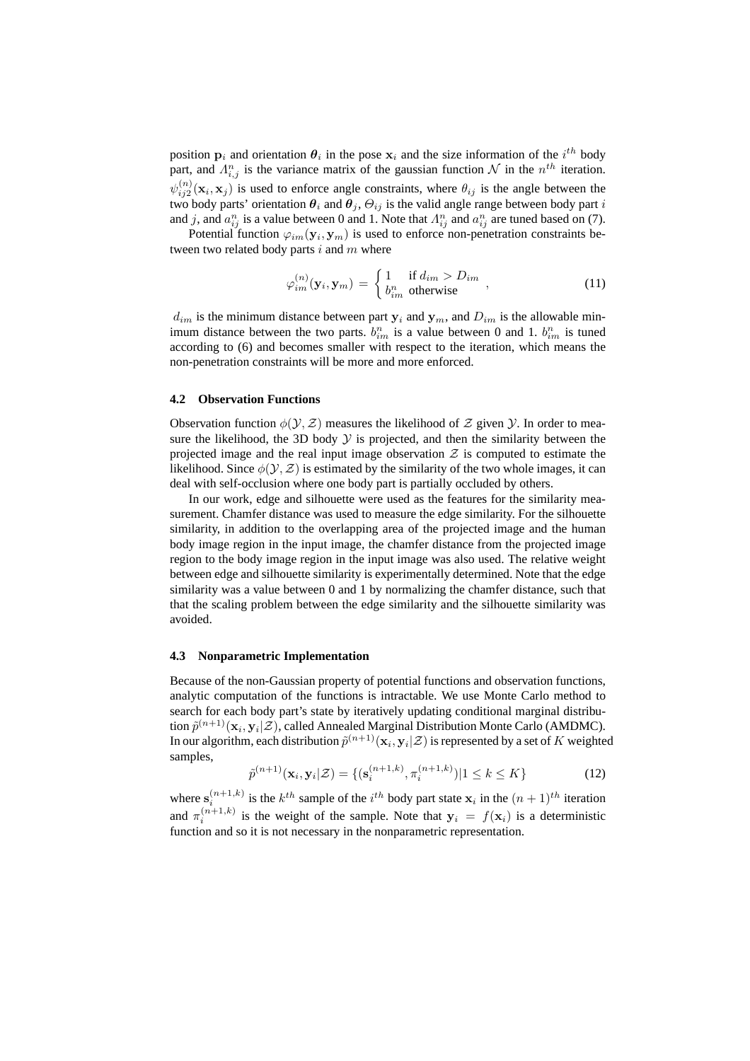position  $\mathbf{p}_i$  and orientation  $\theta_i$  in the pose  $\mathbf{x}_i$  and the size information of the  $i^{th}$  body part, and  $\Lambda_{i,j}^n$  is the variance matrix of the gaussian function  $\mathcal N$  in the  $n^{th}$  iteration.  $\psi_{ij2}^{(n)}(\mathbf{x}_i, \mathbf{x}_j)$  is used to enforce angle constraints, where  $\theta_{ij}$  is the angle between the  $\psi_{ij2}(\mathbf{x}_i, \mathbf{x}_j)$  is used to emonet angle constraints, where  $\hat{v}_{ij}$  is the angle between the two body parts' orientation  $\theta_i$  and  $\theta_j$ ,  $\Theta_{ij}$  is the valid angle range between body part is and j, and  $a_{ij}^n$  is a value between 0 and 1. Note that  $A_{ij}^n$  and  $a_{ij}^n$  are tuned based on (7).

Potential function  $\varphi_{im}(\mathbf{y}_i, \mathbf{y}_m)$  is used to enforce non-penetration constraints between two related body parts  $i$  and  $m$  where

$$
\varphi_{im}^{(n)}(\mathbf{y}_i, \mathbf{y}_m) = \begin{cases} 1 & \text{if } d_{im} > D_{im} \\ b_{im}^n & \text{otherwise} \end{cases}, \tag{11}
$$

 $d_{im}$  is the minimum distance between part  $y_i$  and  $y_m$ , and  $D_{im}$  is the allowable minimum distance between the two parts.  $b_{im}^n$  is a value between 0 and 1.  $b_{im}^n$  is tuned according to (6) and becomes smaller with respect to the iteration, which means the non-penetration constraints will be more and more enforced.

### **4.2 Observation Functions**

Observation function  $\phi(\mathcal{Y}, \mathcal{Z})$  measures the likelihood of  $\mathcal Z$  given  $\mathcal Y$ . In order to measure the likelihood, the 3D body  $Y$  is projected, and then the similarity between the projected image and the real input image observation  $Z$  is computed to estimate the likelihood. Since  $\phi(\mathcal{Y}, \mathcal{Z})$  is estimated by the similarity of the two whole images, it can deal with self-occlusion where one body part is partially occluded by others.

In our work, edge and silhouette were used as the features for the similarity measurement. Chamfer distance was used to measure the edge similarity. For the silhouette similarity, in addition to the overlapping area of the projected image and the human body image region in the input image, the chamfer distance from the projected image region to the body image region in the input image was also used. The relative weight between edge and silhouette similarity is experimentally determined. Note that the edge similarity was a value between 0 and 1 by normalizing the chamfer distance, such that that the scaling problem between the edge similarity and the silhouette similarity was avoided.

#### **4.3 Nonparametric Implementation**

Because of the non-Gaussian property of potential functions and observation functions, analytic computation of the functions is intractable. We use Monte Carlo method to search for each body part's state by iteratively updating conditional marginal distribution  $\widetilde{p}^{(n+1)}(\mathbf{x}_i, \mathbf{y}_i|\mathcal{Z})$ , called Annealed Marginal Distribution Monte Carlo (AMDMC). In our algorithm, each distribution  $\widetilde{p}^{(n+1)}(\mathbf{x}_i, \mathbf{y}_i|\mathcal{Z})$  is represented by a set of  $K$  weighted samples,

$$
\tilde{p}^{(n+1)}(\mathbf{x}_i, \mathbf{y}_i | \mathcal{Z}) = \{ (\mathbf{s}_i^{(n+1,k)}, \pi_i^{(n+1,k)}) | 1 \le k \le K \}
$$
\n(12)

where  $\mathbf{s}_i^{(n+1,k)}$  is the  $k^{th}$  sample of the  $i^{th}$  body part state  $\mathbf{x}_i$  in the  $(n+1)^{th}$  iteration i and  $\pi_i^{(n+1,k)}$  is the weight of the sample. Note that  $y_i = f(x_i)$  is a deterministic function and so it is not necessary in the nonparametric representation.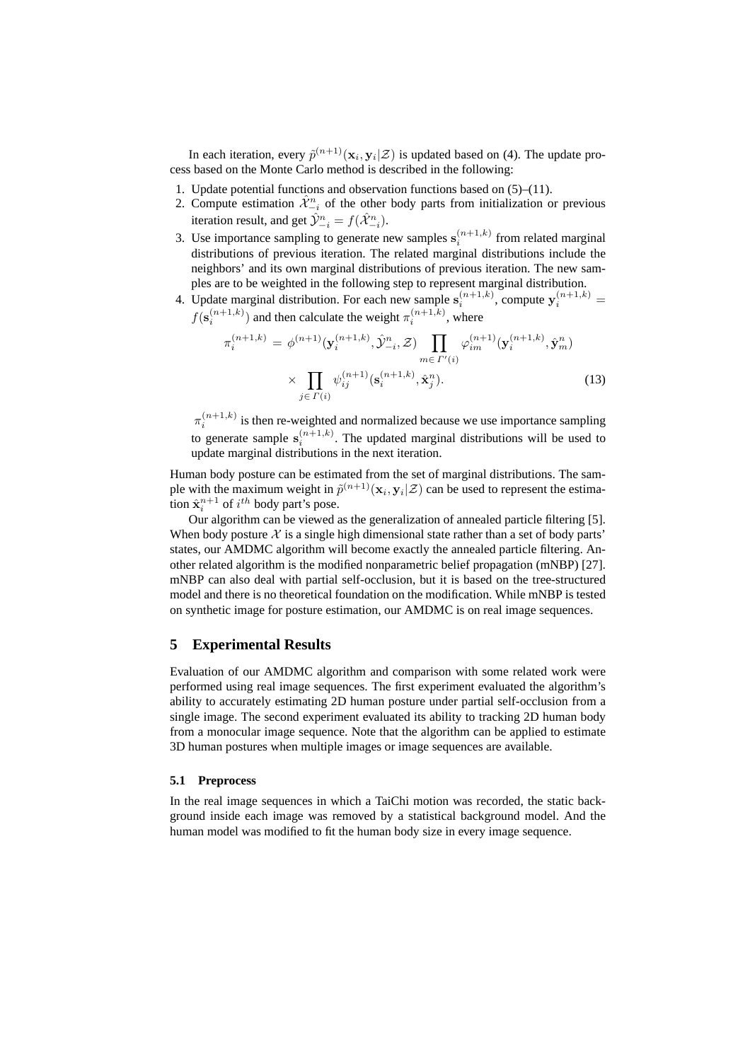In each iteration, every  $\tilde{p}^{(n+1)}(\mathbf{x}_i, \mathbf{y}_i | \mathcal{Z})$  is updated based on (4). The update process based on the Monte Carlo method is described in the following:

- 1. Update potential functions and observation functions based on (5)–(11).
- 2. Compute estimation  $\hat{\mathcal{X}}_{-i}^n$  of the other body parts from initialization or previous iteration result, and get  $\hat{\mathcal{Y}}_{-i}^n = f(\hat{\mathcal{X}}_{-i}^n)$ .
- 3. Use importance sampling to generate new samples  $s_i^{(n+1,k)}$  from related marginal distributions of previous iteration. The related marginal distributions include the neighbors' and its own marginal distributions of previous iteration. The new samples are to be weighted in the following step to represent marginal distribution.
- 4. Update marginal distribution. For each new sample  $s_i^{(n+1,k)}$ , compute  $y_i^{(n+1,k)}$  =  $f(\mathbf{s}_i^{(n+1,k)})$  and then calculate the weight  $\pi_i^{(n+1,k)}$ , where

$$
\pi_i^{(n+1,k)} = \phi^{(n+1)}(\mathbf{y}_i^{(n+1,k)}, \hat{\mathcal{Y}}_{-i}^n, \mathcal{Z}) \prod_{m \in \Gamma'(i)} \varphi_{im}^{(n+1)}(\mathbf{y}_i^{(n+1,k)}, \hat{\mathbf{y}}_m^n)
$$

$$
\times \prod_{j \in \Gamma(i)} \psi_{ij}^{(n+1)}(\mathbf{s}_i^{(n+1,k)}, \hat{\mathbf{x}}_j^n). \tag{13}
$$

 $\pi_i^{(n+1,k)}$  is then re-weighted and normalized because we use importance sampling to generate sample  $s_i^{(n+1,k)}$ . The updated marginal distributions will be used to update marginal distributions in the next iteration.

Human body posture can be estimated from the set of marginal distributions. The sample with the maximum weight in  $\tilde{p}^{(n+1)}(\mathbf{x}_i, \mathbf{y}_i | \mathcal{Z})$  can be used to represent the estimation  $\hat{\mathbf{x}}_i^{n+1}$  of  $i^{th}$  body part's pose.

Our algorithm can be viewed as the generalization of annealed particle filtering [5]. When body posture  $\mathcal X$  is a single high dimensional state rather than a set of body parts' states, our AMDMC algorithm will become exactly the annealed particle filtering. Another related algorithm is the modified nonparametric belief propagation (mNBP) [27]. mNBP can also deal with partial self-occlusion, but it is based on the tree-structured model and there is no theoretical foundation on the modification. While mNBP is tested on synthetic image for posture estimation, our AMDMC is on real image sequences.

# **5 Experimental Results**

Evaluation of our AMDMC algorithm and comparison with some related work were performed using real image sequences. The first experiment evaluated the algorithm's ability to accurately estimating 2D human posture under partial self-occlusion from a single image. The second experiment evaluated its ability to tracking 2D human body from a monocular image sequence. Note that the algorithm can be applied to estimate 3D human postures when multiple images or image sequences are available.

### **5.1 Preprocess**

In the real image sequences in which a TaiChi motion was recorded, the static background inside each image was removed by a statistical background model. And the human model was modified to fit the human body size in every image sequence.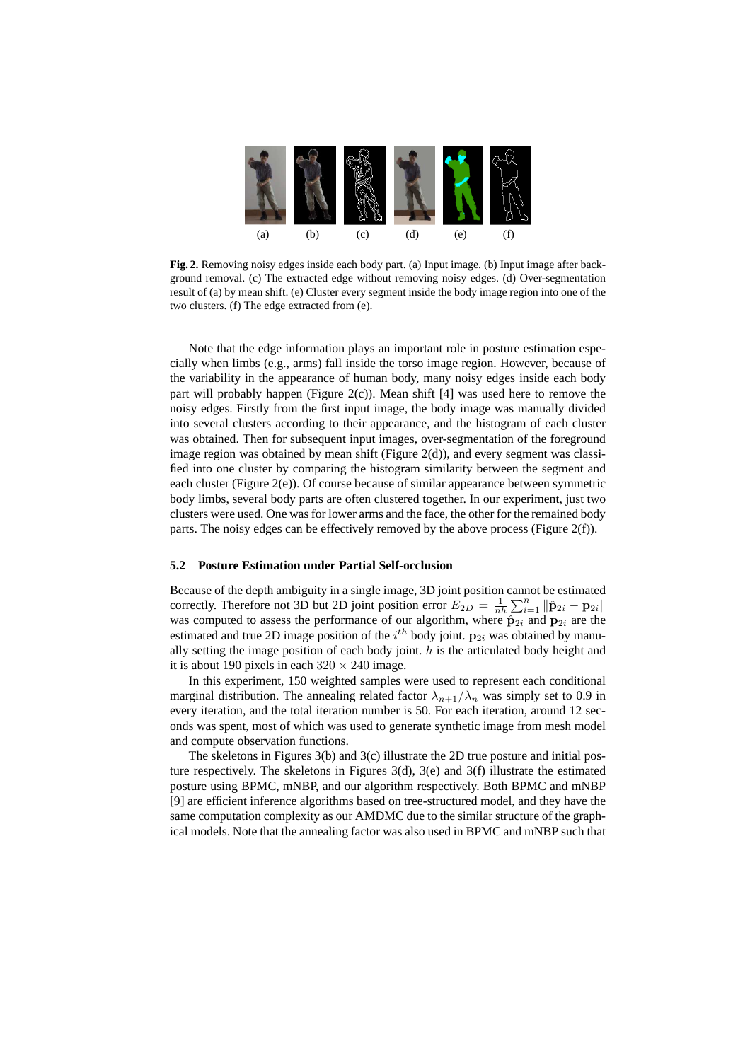

**Fig. 2.** Removing noisy edges inside each body part. (a) Input image. (b) Input image after background removal. (c) The extracted edge without removing noisy edges. (d) Over-segmentation result of (a) by mean shift. (e) Cluster every segment inside the body image region into one of the two clusters. (f) The edge extracted from (e).

Note that the edge information plays an important role in posture estimation especially when limbs (e.g., arms) fall inside the torso image region. However, because of the variability in the appearance of human body, many noisy edges inside each body part will probably happen (Figure 2(c)). Mean shift [4] was used here to remove the noisy edges. Firstly from the first input image, the body image was manually divided into several clusters according to their appearance, and the histogram of each cluster was obtained. Then for subsequent input images, over-segmentation of the foreground image region was obtained by mean shift (Figure 2(d)), and every segment was classified into one cluster by comparing the histogram similarity between the segment and each cluster (Figure 2(e)). Of course because of similar appearance between symmetric body limbs, several body parts are often clustered together. In our experiment, just two clusters were used. One was for lower arms and the face, the other for the remained body parts. The noisy edges can be effectively removed by the above process (Figure  $2(f)$ ).

#### **5.2 Posture Estimation under Partial Self-occlusion**

Because of the depth ambiguity in a single image, 3D joint position cannot be estimated correctly. Therefore not 3D but 2D joint position error  $E_{2D} = \frac{1}{nh} \sum_{i=1}^{n} ||\hat{\mathbf{p}}_{2i} - \mathbf{p}_{2i}||$ was computed to assess the performance of our algorithm, where  $\hat{p}_{2i}$  and  $p_{2i}$  are the estimated and true 2D image position of the  $i^{th}$  body joint.  $\mathbf{p}_{2i}$  was obtained by manually setting the image position of each body joint.  $h$  is the articulated body height and it is about 190 pixels in each  $320 \times 240$  image.

In this experiment, 150 weighted samples were used to represent each conditional marginal distribution. The annealing related factor  $\lambda_{n+1}/\lambda_n$  was simply set to 0.9 in every iteration, and the total iteration number is 50. For each iteration, around 12 seconds was spent, most of which was used to generate synthetic image from mesh model and compute observation functions.

The skeletons in Figures 3(b) and 3(c) illustrate the 2D true posture and initial posture respectively. The skeletons in Figures  $3(d)$ ,  $3(e)$  and  $3(f)$  illustrate the estimated posture using BPMC, mNBP, and our algorithm respectively. Both BPMC and mNBP [9] are efficient inference algorithms based on tree-structured model, and they have the same computation complexity as our AMDMC due to the similar structure of the graphical models. Note that the annealing factor was also used in BPMC and mNBP such that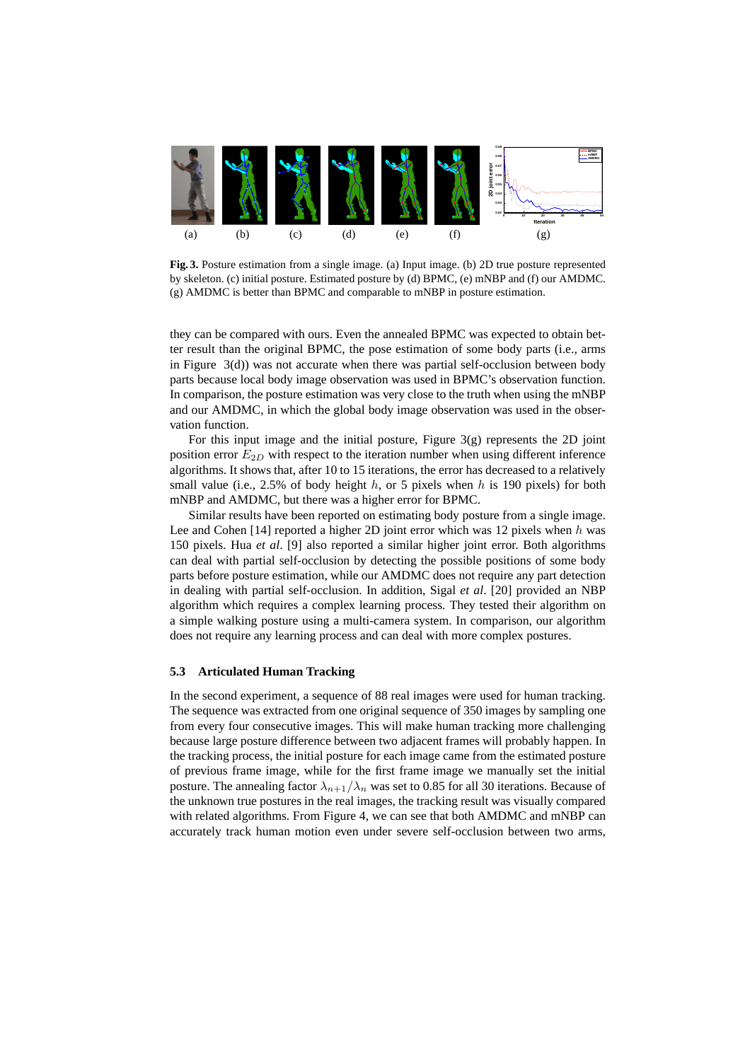

**Fig. 3.** Posture estimation from a single image. (a) Input image. (b) 2D true posture represented by skeleton. (c) initial posture. Estimated posture by (d) BPMC, (e) mNBP and (f) our AMDMC. (g) AMDMC is better than BPMC and comparable to mNBP in posture estimation.

they can be compared with ours. Even the annealed BPMC was expected to obtain better result than the original BPMC, the pose estimation of some body parts (i.e., arms in Figure 3(d)) was not accurate when there was partial self-occlusion between body parts because local body image observation was used in BPMC's observation function. In comparison, the posture estimation was very close to the truth when using the mNBP and our AMDMC, in which the global body image observation was used in the observation function.

For this input image and the initial posture, Figure 3(g) represents the 2D joint position error  $E_{2D}$  with respect to the iteration number when using different inference algorithms. It shows that, after 10 to 15 iterations, the error has decreased to a relatively small value (i.e., 2.5% of body height  $h$ , or 5 pixels when  $h$  is 190 pixels) for both mNBP and AMDMC, but there was a higher error for BPMC.

Similar results have been reported on estimating body posture from a single image. Lee and Cohen [14] reported a higher 2D joint error which was 12 pixels when  $h$  was 150 pixels. Hua *et al*. [9] also reported a similar higher joint error. Both algorithms can deal with partial self-occlusion by detecting the possible positions of some body parts before posture estimation, while our AMDMC does not require any part detection in dealing with partial self-occlusion. In addition, Sigal *et al*. [20] provided an NBP algorithm which requires a complex learning process. They tested their algorithm on a simple walking posture using a multi-camera system. In comparison, our algorithm does not require any learning process and can deal with more complex postures.

### **5.3 Articulated Human Tracking**

In the second experiment, a sequence of 88 real images were used for human tracking. The sequence was extracted from one original sequence of 350 images by sampling one from every four consecutive images. This will make human tracking more challenging because large posture difference between two adjacent frames will probably happen. In the tracking process, the initial posture for each image came from the estimated posture of previous frame image, while for the first frame image we manually set the initial posture. The annealing factor  $\lambda_{n+1}/\lambda_n$  was set to 0.85 for all 30 iterations. Because of the unknown true postures in the real images, the tracking result was visually compared with related algorithms. From Figure 4, we can see that both AMDMC and mNBP can accurately track human motion even under severe self-occlusion between two arms,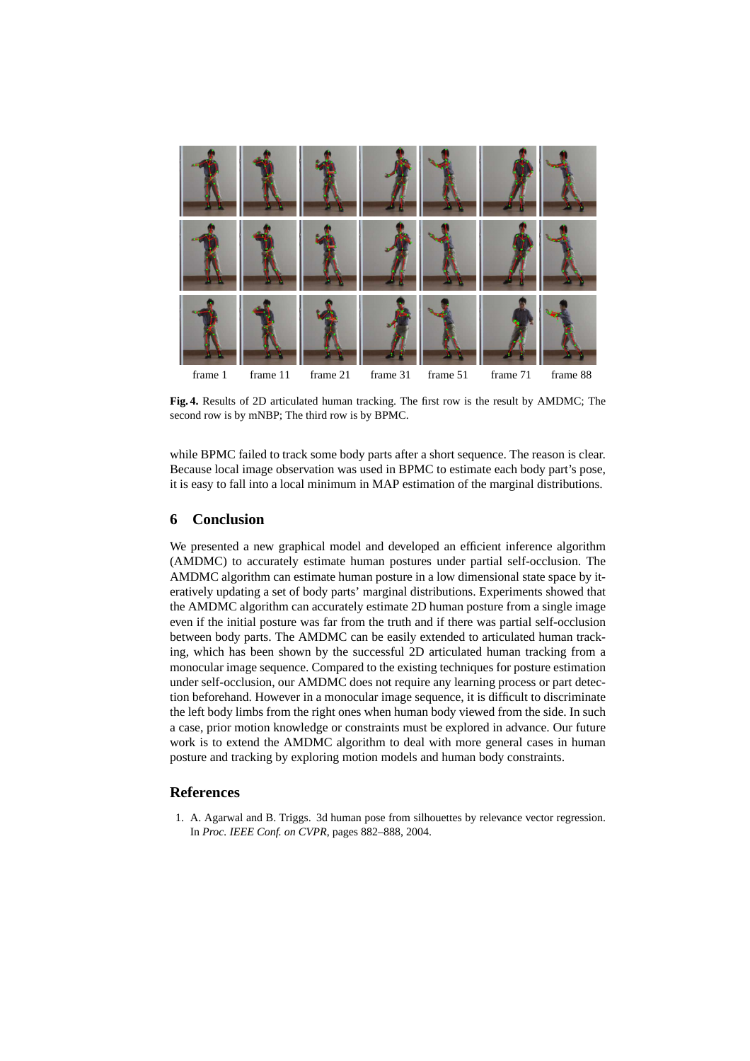

**Fig. 4.** Results of 2D articulated human tracking. The first row is the result by AMDMC; The second row is by mNBP; The third row is by BPMC.

while BPMC failed to track some body parts after a short sequence. The reason is clear. Because local image observation was used in BPMC to estimate each body part's pose, it is easy to fall into a local minimum in MAP estimation of the marginal distributions.

# **6 Conclusion**

We presented a new graphical model and developed an efficient inference algorithm (AMDMC) to accurately estimate human postures under partial self-occlusion. The AMDMC algorithm can estimate human posture in a low dimensional state space by iteratively updating a set of body parts' marginal distributions. Experiments showed that the AMDMC algorithm can accurately estimate 2D human posture from a single image even if the initial posture was far from the truth and if there was partial self-occlusion between body parts. The AMDMC can be easily extended to articulated human tracking, which has been shown by the successful 2D articulated human tracking from a monocular image sequence. Compared to the existing techniques for posture estimation under self-occlusion, our AMDMC does not require any learning process or part detection beforehand. However in a monocular image sequence, it is difficult to discriminate the left body limbs from the right ones when human body viewed from the side. In such a case, prior motion knowledge or constraints must be explored in advance. Our future work is to extend the AMDMC algorithm to deal with more general cases in human posture and tracking by exploring motion models and human body constraints.

# **References**

1. A. Agarwal and B. Triggs. 3d human pose from silhouettes by relevance vector regression. In *Proc. IEEE Conf. on CVPR*, pages 882–888, 2004.